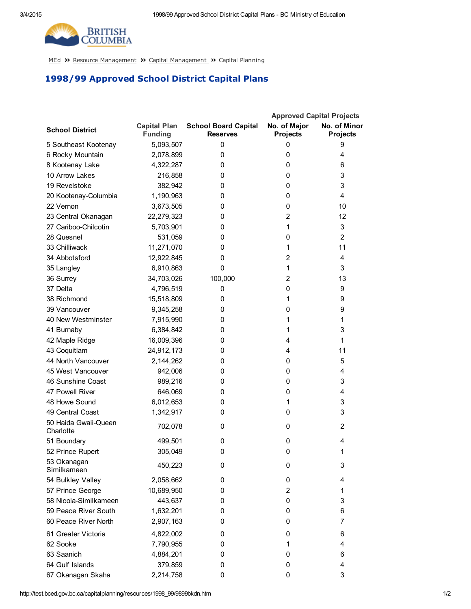

[MEd](http://test.bced.gov.bc.ca/) >> Resource [Management](http://test.bced.gov.bc.ca/departments/resource_man/capitalmanagement.htm) >> Capital Management >> Capital Planning

## 1998/99 Approved School District Capital Plans

|                                   |                                       |                                                | <b>Approved Capital Projects</b> |                                 |
|-----------------------------------|---------------------------------------|------------------------------------------------|----------------------------------|---------------------------------|
| <b>School District</b>            | <b>Capital Plan</b><br><b>Funding</b> | <b>School Board Capital</b><br><b>Reserves</b> | No. of Major<br><b>Projects</b>  | No. of Minor<br><b>Projects</b> |
| 5 Southeast Kootenay              | 5,093,507                             | 0                                              | 0                                | 9                               |
| 6 Rocky Mountain                  | 2,078,899                             | 0                                              | 0                                | 4                               |
| 8 Kootenay Lake                   | 4,322,287                             | 0                                              | 0                                | 6                               |
| 10 Arrow Lakes                    | 216,858                               | 0                                              | 0                                | 3                               |
| 19 Revelstoke                     | 382,942                               | 0                                              | 0                                | 3                               |
| 20 Kootenay-Columbia              | 1,190,963                             | 0                                              | 0                                | 4                               |
| 22 Vernon                         | 3,673,505                             | 0                                              | 0                                | 10                              |
| 23 Central Okanagan               | 22,279,323                            | 0                                              | $\overline{2}$                   | 12                              |
| 27 Cariboo-Chilcotin              | 5,703,901                             | 0                                              | 1                                | 3                               |
| 28 Quesnel                        | 531,059                               | 0                                              | 0                                | $\overline{2}$                  |
| 33 Chilliwack                     | 11,271,070                            | 0                                              | 1                                | 11                              |
| 34 Abbotsford                     | 12,922,845                            | 0                                              | $\overline{2}$                   | $\overline{4}$                  |
| 35 Langley                        | 6,910,863                             | 0                                              | 1                                | 3                               |
| 36 Surrey                         | 34,703,026                            | 100,000                                        | $\overline{2}$                   | 13                              |
| 37 Delta                          | 4,796,519                             | 0                                              | 0                                | 9                               |
| 38 Richmond                       | 15,518,809                            | 0                                              | 1                                | 9                               |
| 39 Vancouver                      | 9,345,258                             | 0                                              | 0                                | 9                               |
| 40 New Westminster                | 7,915,990                             | 0                                              | 1                                | 1                               |
| 41 Burnaby                        | 6,384,842                             | 0                                              | 1                                | 3                               |
| 42 Maple Ridge                    | 16,009,396                            | 0                                              | 4                                | 1                               |
| 43 Coquitlam                      | 24,912,173                            | 0                                              | 4                                | 11                              |
| 44 North Vancouver                | 2,144,262                             | 0                                              | 0                                | 5                               |
| 45 West Vancouver                 | 942,006                               | 0                                              | 0                                | 4                               |
| 46 Sunshine Coast                 | 989,216                               | 0                                              | 0                                | 3                               |
| 47 Powell River                   | 646,069                               | 0                                              | 0                                | $\overline{4}$                  |
| 48 Howe Sound                     | 6,012,653                             | 0                                              | 1                                | 3                               |
| 49 Central Coast                  | 1,342,917                             | 0                                              | 0                                | 3                               |
| 50 Haida Gwaii-Queen<br>Charlotte | 702,078                               | 0                                              | 0                                | 2                               |
| 51 Boundary                       | 499,501                               | 0                                              | 0                                | 4                               |
| 52 Prince Rupert                  | 305,049                               | 0                                              | 0                                | 1                               |
| 53 Okanagan<br>Similkameen        | 450,223                               | 0                                              | 0                                | 3                               |
| 54 Bulkley Valley                 | 2,058,662                             | 0                                              | 0                                | 4                               |
| 57 Prince George                  | 10,689,950                            | 0                                              | 2                                | 1                               |
| 58 Nicola-Similkameen             | 443,637                               | 0                                              | 0                                | 3                               |
| 59 Peace River South              | 1,632,201                             | 0                                              | 0                                | 6                               |
| 60 Peace River North              | 2,907,163                             | 0                                              | 0                                | 7                               |
| 61 Greater Victoria               | 4,822,002                             | 0                                              | 0                                | 6                               |
| 62 Sooke                          | 7,790,955                             | 0                                              | 1                                | 4                               |
| 63 Saanich                        | 4,884,201                             | 0                                              | 0                                | 6                               |
| 64 Gulf Islands                   | 379,859                               | 0                                              | 0                                | 4                               |
| 67 Okanagan Skaha                 | 2,214,758                             | 0                                              | 0                                | 3                               |